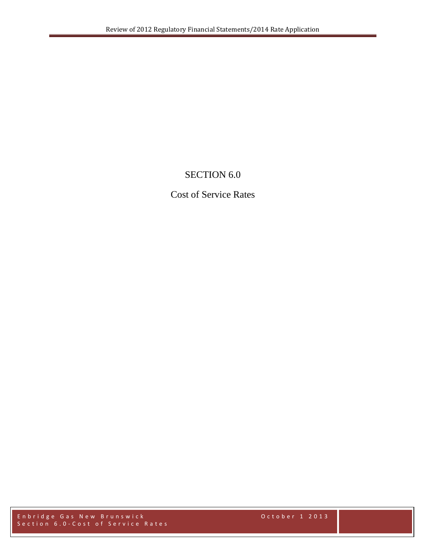# SECTION 6.0

## Cost of Service Rates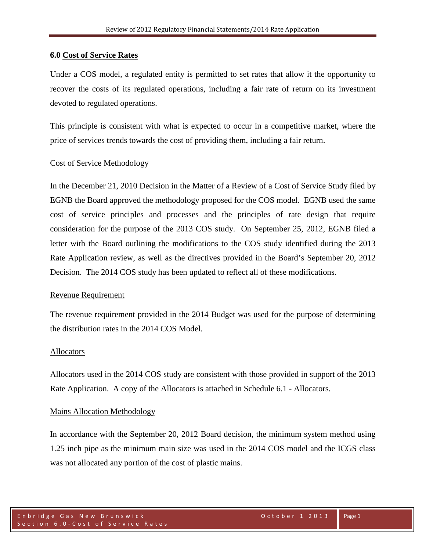### **6.0 Cost of Service Rates**

Under a COS model, a regulated entity is permitted to set rates that allow it the opportunity to recover the costs of its regulated operations, including a fair rate of return on its investment devoted to regulated operations.

This principle is consistent with what is expected to occur in a competitive market, where the price of services trends towards the cost of providing them, including a fair return.

### Cost of Service Methodology

In the December 21, 2010 Decision in the Matter of a Review of a Cost of Service Study filed by EGNB the Board approved the methodology proposed for the COS model. EGNB used the same cost of service principles and processes and the principles of rate design that require consideration for the purpose of the 2013 COS study. On September 25, 2012, EGNB filed a letter with the Board outlining the modifications to the COS study identified during the 2013 Rate Application review, as well as the directives provided in the Board's September 20, 2012 Decision. The 2014 COS study has been updated to reflect all of these modifications.

#### Revenue Requirement

The revenue requirement provided in the 2014 Budget was used for the purpose of determining the distribution rates in the 2014 COS Model.

### **Allocators**

Allocators used in the 2014 COS study are consistent with those provided in support of the 2013 Rate Application. A copy of the Allocators is attached in Schedule 6.1 - Allocators.

### Mains Allocation Methodology

In accordance with the September 20, 2012 Board decision, the minimum system method using 1.25 inch pipe as the minimum main size was used in the 2014 COS model and the ICGS class was not allocated any portion of the cost of plastic mains.